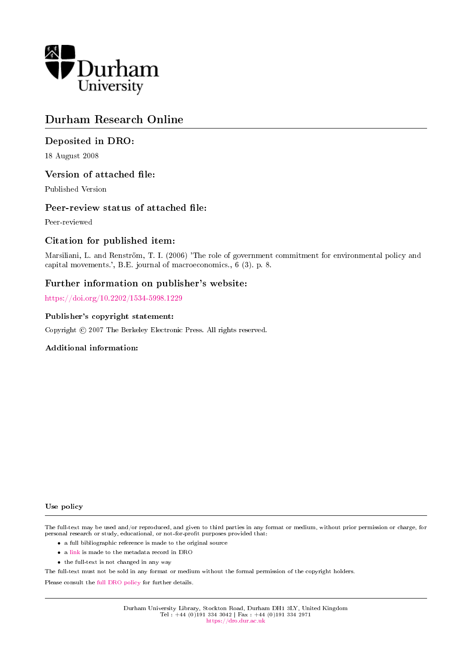

## Durham Research Online

## Deposited in DRO:

18 August 2008

## Version of attached file:

Published Version

## Peer-review status of attached file:

Peer-reviewed

## Citation for published item:

Marsiliani, L. and Renström, T. I. (2006) 'The role of government commitment for environmental policy and capital movements.', B.E. journal of macroeconomics., 6 (3). p. 8.

## Further information on publisher's website:

<https://doi.org/10.2202/1534-5998.1229>

#### Publisher's copyright statement:

Copyright  $\odot$  2007 The Berkeley Electronic Press. All rights reserved.

## Additional information:

#### Use policy

The full-text may be used and/or reproduced, and given to third parties in any format or medium, without prior permission or charge, for personal research or study, educational, or not-for-profit purposes provided that:

- a full bibliographic reference is made to the original source
- a [link](http://dro.dur.ac.uk/2474/) is made to the metadata record in DRO
- the full-text is not changed in any way

The full-text must not be sold in any format or medium without the formal permission of the copyright holders.

Please consult the [full DRO policy](https://dro.dur.ac.uk/policies/usepolicy.pdf) for further details.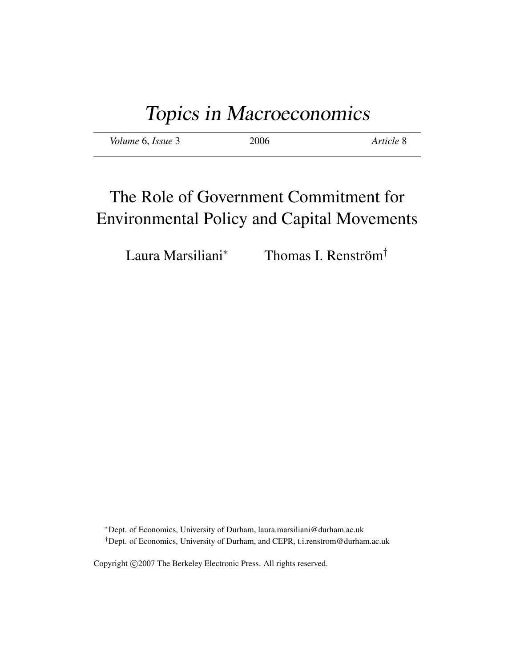*Volume* 6, *Issue* 3 2006 *Article* 8

# The Role of Government Commitment for Environmental Policy and Capital Movements

Laura Marsiliani<sup>∗</sup> Thomas I. Renström<sup>†</sup>

<sup>∗</sup>Dept. of Economics, University of Durham, laura.marsiliani@durham.ac.uk †Dept. of Economics, University of Durham, and CEPR, t.i.renstrom@durham.ac.uk

Copyright ©2007 The Berkeley Electronic Press. All rights reserved.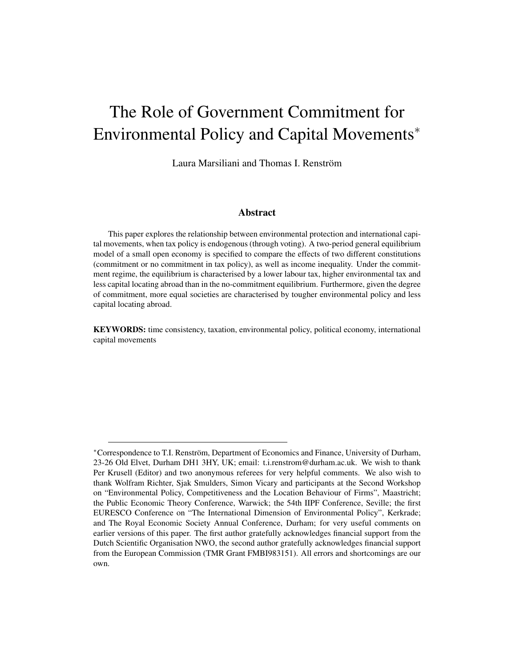## The Role of Government Commitment for Environmental Policy and Capital Movements<sup>∗</sup>

Laura Marsiliani and Thomas I. Renström

#### Abstract

This paper explores the relationship between environmental protection and international capital movements, when tax policy is endogenous (through voting). A two-period general equilibrium model of a small open economy is specified to compare the effects of two different constitutions (commitment or no commitment in tax policy), as well as income inequality. Under the commitment regime, the equilibrium is characterised by a lower labour tax, higher environmental tax and less capital locating abroad than in the no-commitment equilibrium. Furthermore, given the degree of commitment, more equal societies are characterised by tougher environmental policy and less capital locating abroad.

KEYWORDS: time consistency, taxation, environmental policy, political economy, international capital movements

<sup>∗</sup>Correspondence to T.I. Renstrom, Department of Economics and Finance, University of Durham, ¨ 23-26 Old Elvet, Durham DH1 3HY, UK; email: t.i.renstrom@durham.ac.uk. We wish to thank Per Krusell (Editor) and two anonymous referees for very helpful comments. We also wish to thank Wolfram Richter, Sjak Smulders, Simon Vicary and participants at the Second Workshop on "Environmental Policy, Competitiveness and the Location Behaviour of Firms", Maastricht; the Public Economic Theory Conference, Warwick; the 54th IIPF Conference, Seville; the first EURESCO Conference on "The International Dimension of Environmental Policy", Kerkrade; and The Royal Economic Society Annual Conference, Durham; for very useful comments on earlier versions of this paper. The first author gratefully acknowledges financial support from the Dutch Scientific Organisation NWO, the second author gratefully acknowledges financial support from the European Commission (TMR Grant FMBI983151). All errors and shortcomings are our own.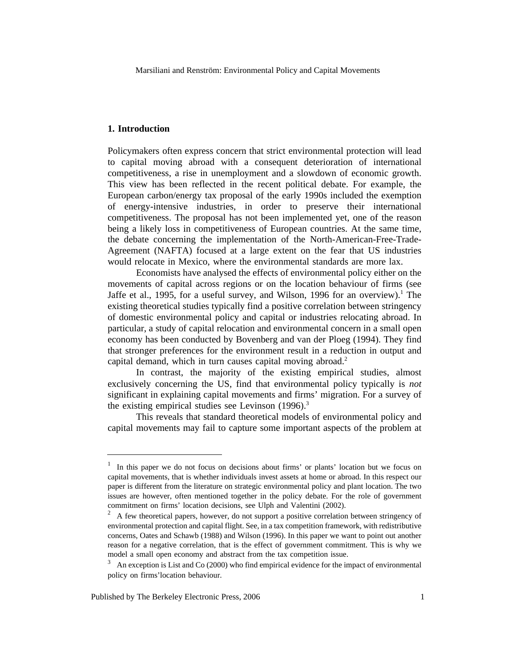#### **1. Introduction**

Policymakers often express concern that strict environmental protection will lead to capital moving abroad with a consequent deterioration of international competitiveness, a rise in unemployment and a slowdown of economic growth. This view has been reflected in the recent political debate. For example, the European carbon/energy tax proposal of the early 1990s included the exemption of energy-intensive industries, in order to preserve their international competitiveness. The proposal has not been implemented yet, one of the reason being a likely loss in competitiveness of European countries. At the same time, the debate concerning the implementation of the North-American-Free-Trade-Agreement (NAFTA) focused at a large extent on the fear that US industries would relocate in Mexico, where the environmental standards are more lax.

Economists have analysed the effects of environmental policy either on the movements of capital across regions or on the location behaviour of firms (see Jaffe et al., 1995, for a useful survey, and Wilson, 1996 for an overview).<sup>1</sup> The existing theoretical studies typically find a positive correlation between stringency of domestic environmental policy and capital or industries relocating abroad. In particular, a study of capital relocation and environmental concern in a small open economy has been conducted by Bovenberg and van der Ploeg (1994). They find that stronger preferences for the environment result in a reduction in output and capital demand, which in turn causes capital moving abroad.<sup>2</sup>

In contrast, the majority of the existing empirical studies, almost exclusively concerning the US, find that environmental policy typically is *not* significant in explaining capital movements and firms' migration. For a survey of the existing empirical studies see Levinson  $(1996)^3$ 

This reveals that standard theoretical models of environmental policy and capital movements may fail to capture some important aspects of the problem at

<sup>&</sup>lt;sup>1</sup> In this paper we do not focus on decisions about firms' or plants' location but we focus on capital movements, that is whether individuals invest assets at home or abroad. In this respect our paper is different from the literature on strategic environmental policy and plant location. The two issues are however, often mentioned together in the policy debate. For the role of government commitment on firms' location decisions, see Ulph and Valentini (2002).

 $2\alpha$  A few theoretical papers, however, do not support a positive correlation between stringency of environmental protection and capital flight. See, in a tax competition framework, with redistributive concerns, Oates and Schawb (1988) and Wilson (1996). In this paper we want to point out another reason for a negative correlation, that is the effect of government commitment. This is why we model a small open economy and abstract from the tax competition issue.

 $3$  An exception is List and Co (2000) who find empirical evidence for the impact of environmental policy on firms'location behaviour.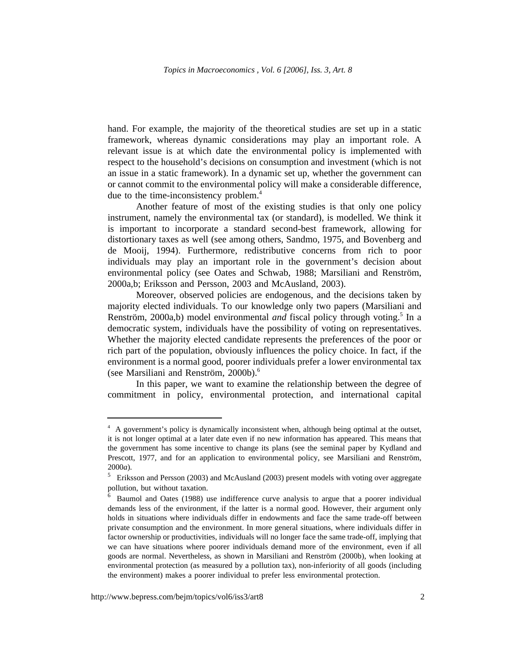hand. For example, the majority of the theoretical studies are set up in a static framework, whereas dynamic considerations may play an important role. A relevant issue is at which date the environmental policy is implemented with respect to the household's decisions on consumption and investment (which is not an issue in a static framework). In a dynamic set up, whether the government can or cannot commit to the environmental policy will make a considerable difference, due to the time-inconsistency problem.<sup>4</sup>

Another feature of most of the existing studies is that only one policy instrument, namely the environmental tax (or standard), is modelled. We think it is important to incorporate a standard second-best framework, allowing for distortionary taxes as well (see among others, Sandmo, 1975, and Bovenberg and de Mooij, 1994). Furthermore, redistributive concerns from rich to poor individuals may play an important role in the government's decision about environmental policy (see Oates and Schwab, 1988; Marsiliani and Renström, 2000a,b; Eriksson and Persson, 2003 and McAusland, 2003).

Moreover, observed policies are endogenous, and the decisions taken by majority elected individuals. To our knowledge only two papers (Marsiliani and Renström, 2000a,b) model environmental *and* fiscal policy through voting.<sup>5</sup> In a democratic system, individuals have the possibility of voting on representatives. Whether the majority elected candidate represents the preferences of the poor or rich part of the population, obviously influences the policy choice. In fact, if the environment is a normal good, poorer individuals prefer a lower environmental tax (see Marsiliani and Renström, 2000b).6

In this paper, we want to examine the relationship between the degree of commitment in policy, environmental protection, and international capital

<sup>4</sup> A government's policy is dynamically inconsistent when, although being optimal at the outset, it is not longer optimal at a later date even if no new information has appeared. This means that the government has some incentive to change its plans (see the seminal paper by Kydland and Prescott, 1977, and for an application to environmental policy, see Marsiliani and Renström, 2000*a*).

<sup>&</sup>lt;sup>5</sup> Eriksson and Persson (2003) and McAusland (2003) present models with voting over aggregate pollution, but without taxation.

<sup>6</sup> Baumol and Oates (1988) use indifference curve analysis to argue that a poorer individual demands less of the environment, if the latter is a normal good. However, their argument only holds in situations where individuals differ in endowments and face the same trade-off between private consumption and the environment. In more general situations, where individuals differ in factor ownership or productivities, individuals will no longer face the same trade-off, implying that we can have situations where poorer individuals demand more of the environment, even if all goods are normal. Nevertheless, as shown in Marsiliani and Renström (2000b), when looking at environmental protection (as measured by a pollution tax), non-inferiority of all goods (including the environment) makes a poorer individual to prefer less environmental protection.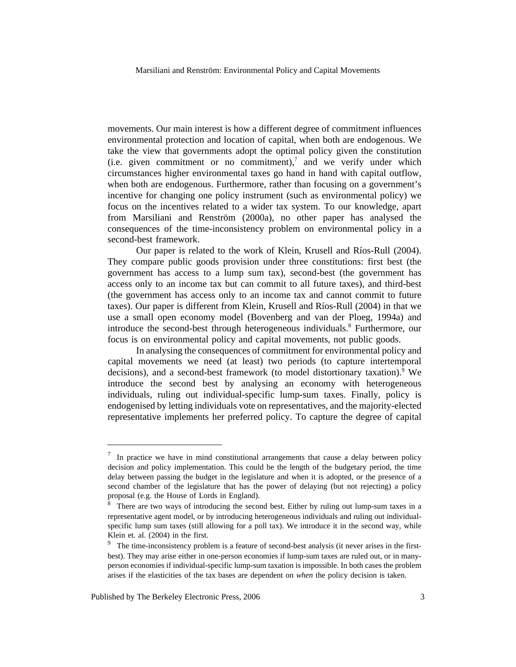movements. Our main interest is how a different degree of commitment influences environmental protection and location of capital, when both are endogenous. We take the view that governments adopt the optimal policy given the constitution (i.e. given commitment or no commitment),<sup>7</sup> and we verify under which circumstances higher environmental taxes go hand in hand with capital outflow, when both are endogenous. Furthermore, rather than focusing on a government's incentive for changing one policy instrument (such as environmental policy) we focus on the incentives related to a wider tax system. To our knowledge, apart from Marsiliani and Renström (2000a), no other paper has analysed the consequences of the time-inconsistency problem on environmental policy in a second-best framework.

Our paper is related to the work of Klein, Krusell and Ríos-Rull (2004). They compare public goods provision under three constitutions: first best (the government has access to a lump sum tax), second-best (the government has access only to an income tax but can commit to all future taxes), and third-best (the government has access only to an income tax and cannot commit to future taxes). Our paper is different from Klein, Krusell and Ríos-Rull (2004) in that we use a small open economy model (Bovenberg and van der Ploeg, 1994a) and introduce the second-best through heterogeneous individuals.<sup>8</sup> Furthermore, our focus is on environmental policy and capital movements, not public goods.

In analysing the consequences of commitment for environmental policy and capital movements we need (at least) two periods (to capture intertemporal decisions), and a second-best framework (to model distortionary taxation).<sup>9</sup> We introduce the second best by analysing an economy with heterogeneous individuals, ruling out individual-specific lump-sum taxes. Finally, policy is endogenised by letting individuals vote on representatives, and the majority-elected representative implements her preferred policy. To capture the degree of capital

<sup>7</sup> In practice we have in mind constitutional arrangements that cause a delay between policy decision and policy implementation. This could be the length of the budgetary period, the time delay between passing the budget in the legislature and when it is adopted, or the presence of a second chamber of the legislature that has the power of delaying (but not rejecting) a policy proposal (e.g. the House of Lords in England).

<sup>&</sup>lt;sup>8</sup> There are two ways of introducing the second best. Either by ruling out lump-sum taxes in a representative agent model, or by introducing heterogeneous individuals and ruling out individualspecific lump sum taxes (still allowing for a poll tax). We introduce it in the second way, while Klein et. al. (2004) in the first.

<sup>&</sup>lt;sup>9</sup> The time-inconsistency problem is a feature of second-best analysis (it never arises in the firstbest). They may arise either in one-person economies if lump-sum taxes are ruled out, or in manyperson economies if individual-specific lump-sum taxation is impossible. In both cases the problem arises if the elasticities of the tax bases are dependent on *when* the policy decision is taken.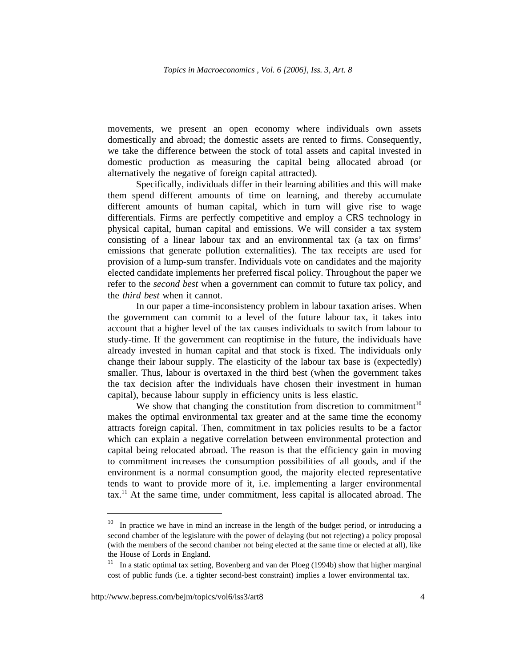movements, we present an open economy where individuals own assets domestically and abroad; the domestic assets are rented to firms. Consequently, we take the difference between the stock of total assets and capital invested in domestic production as measuring the capital being allocated abroad (or alternatively the negative of foreign capital attracted).

Specifically, individuals differ in their learning abilities and this will make them spend different amounts of time on learning, and thereby accumulate different amounts of human capital, which in turn will give rise to wage differentials. Firms are perfectly competitive and employ a CRS technology in physical capital, human capital and emissions. We will consider a tax system consisting of a linear labour tax and an environmental tax (a tax on firms' emissions that generate pollution externalities). The tax receipts are used for provision of a lump-sum transfer. Individuals vote on candidates and the majority elected candidate implements her preferred fiscal policy. Throughout the paper we refer to the *second best* when a government can commit to future tax policy, and the *third best* when it cannot.

In our paper a time-inconsistency problem in labour taxation arises. When the government can commit to a level of the future labour tax, it takes into account that a higher level of the tax causes individuals to switch from labour to study-time. If the government can reoptimise in the future, the individuals have already invested in human capital and that stock is fixed. The individuals only change their labour supply. The elasticity of the labour tax base is (expectedly) smaller. Thus, labour is overtaxed in the third best (when the government takes the tax decision after the individuals have chosen their investment in human capital), because labour supply in efficiency units is less elastic.

We show that changing the constitution from discretion to commitment<sup>10</sup> makes the optimal environmental tax greater and at the same time the economy attracts foreign capital. Then, commitment in tax policies results to be a factor which can explain a negative correlation between environmental protection and capital being relocated abroad. The reason is that the efficiency gain in moving to commitment increases the consumption possibilities of all goods, and if the environment is a normal consumption good, the majority elected representative tends to want to provide more of it, i.e. implementing a larger environmental tax.11 At the same time, under commitment, less capital is allocated abroad. The

 $10$  In practice we have in mind an increase in the length of the budget period, or introducing a second chamber of the legislature with the power of delaying (but not rejecting) a policy proposal (with the members of the second chamber not being elected at the same time or elected at all), like the House of Lords in England.

 $11$  In a static optimal tax setting, Bovenberg and van der Ploeg (1994b) show that higher marginal cost of public funds (i.e. a tighter second-best constraint) implies a lower environmental tax.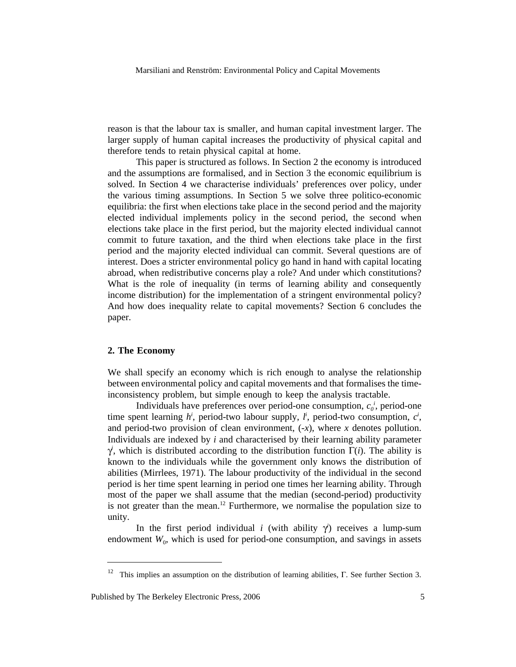reason is that the labour tax is smaller, and human capital investment larger. The larger supply of human capital increases the productivity of physical capital and therefore tends to retain physical capital at home.

This paper is structured as follows. In Section 2 the economy is introduced and the assumptions are formalised, and in Section 3 the economic equilibrium is solved. In Section 4 we characterise individuals' preferences over policy, under the various timing assumptions. In Section 5 we solve three politico-economic equilibria: the first when elections take place in the second period and the majority elected individual implements policy in the second period, the second when elections take place in the first period, but the majority elected individual cannot commit to future taxation, and the third when elections take place in the first period and the majority elected individual can commit. Several questions are of interest. Does a stricter environmental policy go hand in hand with capital locating abroad, when redistributive concerns play a role? And under which constitutions? What is the role of inequality (in terms of learning ability and consequently income distribution) for the implementation of a stringent environmental policy? And how does inequality relate to capital movements? Section 6 concludes the paper.

#### **2. The Economy**

We shall specify an economy which is rich enough to analyse the relationship between environmental policy and capital movements and that formalises the timeinconsistency problem, but simple enough to keep the analysis tractable.

Individuals have preferences over period-one consumption,  $c_0^i$ , period-one time spent learning  $h^i$ , period-two labour supply,  $l^i$ , period-two consumption,  $c^i$ , and period-two provision of clean environment,  $(-x)$ , where *x* denotes pollution. Individuals are indexed by *i* and characterised by their learning ability parameter  $\gamma^i$ , which is distributed according to the distribution function  $\Gamma(i)$ . The ability is known to the individuals while the government only knows the distribution of abilities (Mirrlees, 1971). The labour productivity of the individual in the second period is her time spent learning in period one times her learning ability. Through most of the paper we shall assume that the median (second-period) productivity is not greater than the mean.<sup>12</sup> Furthermore, we normalise the population size to unity.

In the first period individual *i* (with ability  $\gamma$ ) receives a lump-sum endowment  $W_0$ , which is used for period-one consumption, and savings in assets

<sup>&</sup>lt;sup>12</sup> This implies an assumption on the distribution of learning abilities,  $\Gamma$ . See further Section 3.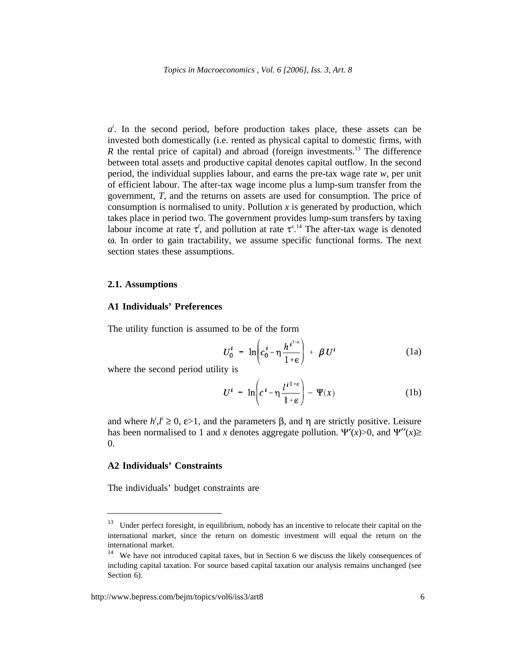$a^i$ . In the second period, before production takes place, these assets can be invested both domestically (i.e. rented as physical capital to domestic firms, with *R* the rental price of capital) and abroad (foreign investments.<sup>13</sup> The difference between total assets and productive capital denotes capital outflow. In the second period, the individual supplies labour, and earns the pre-tax wage rate *w*, per unit of efficient labour. The after-tax wage income plus a lump-sum transfer from the government, *T*, and the returns on assets are used for consumption. The price of consumption is normalised to unity. Pollution *x* is generated by production, which takes place in period two. The government provides lump-sum transfers by taxing labour income at rate  $\tau^l$ , and pollution at rate  $\tau^{r}$ .<sup>14</sup> The after-tax wage is denoted ω. In order to gain tractability, we assume specific functional forms. The next section states these assumptions.

#### **2.1. Assumptions**

#### **A1 Individuals' Preferences**

The utility function is assumed to be of the form

$$
U_0^i = \ln \left( c_0^i - \eta \frac{h^{i^{1+\epsilon}}}{1+\epsilon} \right) + \beta U^i \qquad (1a)
$$

where the second period utility is

$$
U^{i} = \ln \left( c^{i} - \eta \frac{l^{i^{1+\epsilon}}}{1+\epsilon} \right) - \Psi(x)
$$
 (1b)

and where  $h^i, l^i \geq 0, \varepsilon > 1$ , and the parameters  $\beta$ , and  $\eta$  are strictly positive. Leisure has been normalised to 1 and *x* denotes aggregate pollution.  $\Psi'(x) > 0$ , and  $\Psi''(x) \ge$  $\Omega$ .

#### **A2 Individuals' Constraints**

The individuals' budget constraints are

<sup>&</sup>lt;sup>13</sup> Under perfect foresight, in equilibrium, nobody has an incentive to relocate their capital on the international market, since the return on domestic investment will equal the return on the international market.

 $14$  We have not introduced capital taxes, but in Section 6 we discuss the likely consequences of including capital taxation. For source based capital taxation our analysis remains unchanged (see Section 6).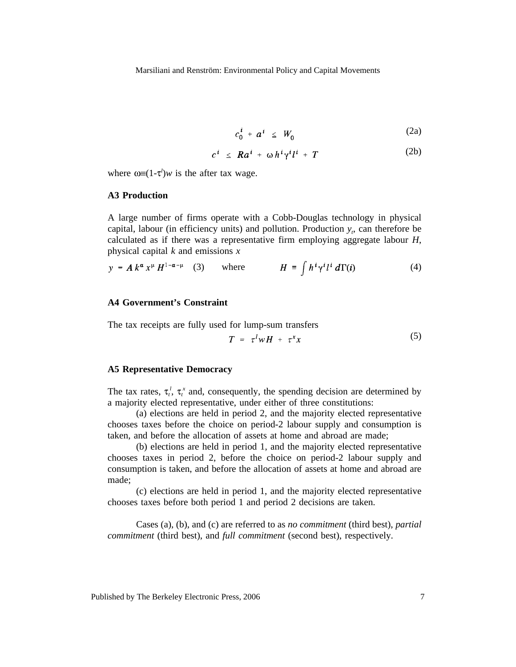$$
c_0^i + a^i \leq W_0 \tag{2a}
$$

$$
c^i \leq R a^i + \omega h^i \gamma^i l^i + T \tag{2b}
$$

where  $\omega = (1 - \tau^l)w$  is the after tax wage.

### **A3 Production**

A large number of firms operate with a Cobb-Douglas technology in physical capital, labour (in efficiency units) and pollution. Production  $y_t$ , can therefore be calculated as if there was a representative firm employing aggregate labour *H*, physical capital *k* and emissions *x*

$$
y = A k^{\alpha} x^{\mu} H^{1-\alpha-\mu} \quad (3) \qquad \text{where} \qquad H = \int h^{i} \gamma^{i} l^{i} d\Gamma(i) \tag{4}
$$

### **A4 Government's Constraint**

The tax receipts are fully used for lump-sum transfers

$$
T = \tau^l w H + \tau^x x \tag{5}
$$

#### **A5 Representative Democracy**

The tax rates,  $\tau_i^l$ ,  $\tau_i^x$  and, consequently, the spending decision are determined by a majority elected representative, under either of three constitutions:

(a) elections are held in period 2, and the majority elected representative chooses taxes before the choice on period-2 labour supply and consumption is taken, and before the allocation of assets at home and abroad are made;

(b) elections are held in period 1, and the majority elected representative chooses taxes in period 2, before the choice on period-2 labour supply and consumption is taken, and before the allocation of assets at home and abroad are made;

(c) elections are held in period 1, and the majority elected representative chooses taxes before both period 1 and period 2 decisions are taken.

Cases (a), (b), and (c) are referred to as *no commitment* (third best), *partial commitment* (third best), and *full commitment* (second best), respectively.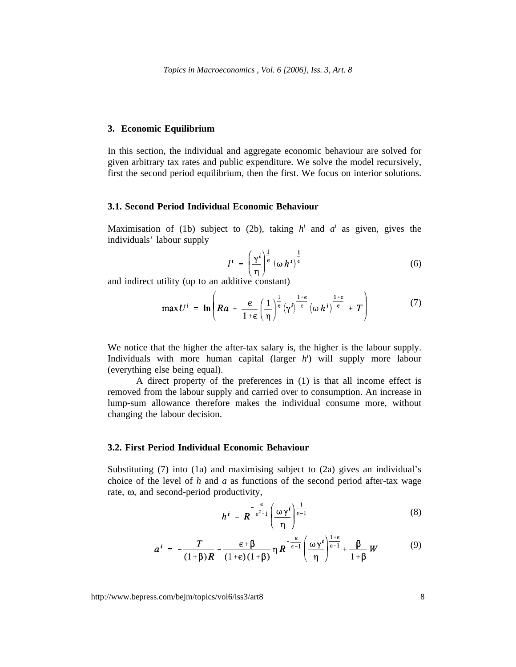#### **3. Economic Equilibrium**

In this section, the individual and aggregate economic behaviour are solved for given arbitrary tax rates and public expenditure. We solve the model recursively, first the second period equilibrium, then the first. We focus on interior solutions.

#### **3.1. Second Period Individual Economic Behaviour**

Maximisation of (1b) subject to (2b), taking  $h^i$  and  $a^i$  as given, gives the individuals' labour supply

$$
l^{i} = \left(\frac{\gamma^{i}}{\eta}\right)^{\frac{1}{e}} \left(\omega h^{i}\right)^{\frac{1}{e}}
$$
 (6)

and indirect utility (up to an additive constant)

$$
\max U^{i} = \ln \left(Ra + \frac{\epsilon}{1+\epsilon} \left(\frac{1}{\eta}\right)^{\frac{1}{\epsilon}} (\gamma^{i})^{\frac{1+\epsilon}{\epsilon}} (\omega h^{i})^{\frac{1+\epsilon}{\epsilon}} + T\right)
$$
(7)

We notice that the higher the after-tax salary is, the higher is the labour supply. Individuals with more human capital (larger *hi* ) will supply more labour (everything else being equal).

A direct property of the preferences in (1) is that all income effect is removed from the labour supply and carried over to consumption. An increase in lump-sum allowance therefore makes the individual consume more, without changing the labour decision.

#### **3.2. First Period Individual Economic Behaviour**

Substituting (7) into (1a) and maximising subject to (2a) gives an individual's choice of the level of *h* and *a* as functions of the second period after-tax wage rate, ω, and second-period productivity,

$$
h^{i} = \boldsymbol{R}^{-\frac{\epsilon}{e^{2}-1}} \left(\frac{\omega \gamma^{i}}{\eta}\right)^{\frac{1}{e-1}}
$$
(8)

$$
a^{i} = -\frac{T}{(1+\beta)R} - \frac{\varepsilon + \beta}{(1+\varepsilon)(1+\beta)} \eta R^{-\frac{\varepsilon}{\varepsilon-1}} \left( \frac{\omega \gamma^{i}}{\eta} \right)^{\frac{1+\varepsilon}{\varepsilon-1}} + \frac{\beta}{1+\beta} W
$$
(9)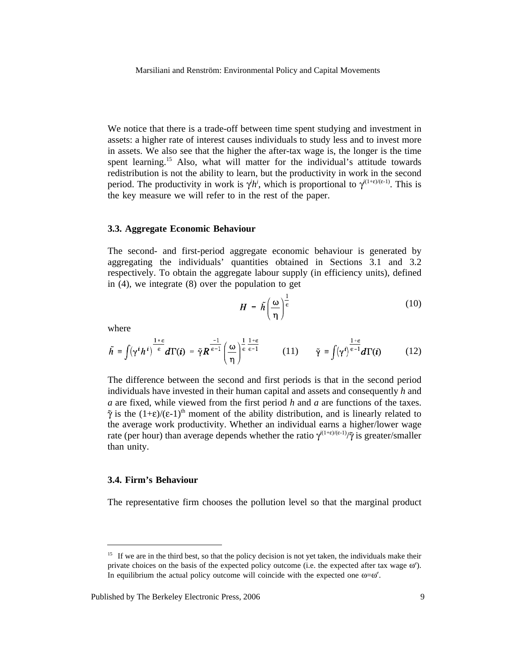We notice that there is a trade-off between time spent studying and investment in assets: a higher rate of interest causes individuals to study less and to invest more in assets. We also see that the higher the after-tax wage is, the longer is the time spent learning.<sup>15</sup> Also, what will matter for the individual's attitude towards redistribution is not the ability to learn, but the productivity in work in the second period. The productivity in work is  $\gamma h^i$ , which is proportional to  $\gamma^{(1+\epsilon)/(\epsilon-1)}$ . This is the key measure we will refer to in the rest of the paper.

#### **3.3. Aggregate Economic Behaviour**

The second- and first-period aggregate economic behaviour is generated by aggregating the individuals' quantities obtained in Sections 3.1 and 3.2 respectively. To obtain the aggregate labour supply (in efficiency units), defined in (4), we integrate (8) over the population to get

$$
H = \tilde{h} \left(\frac{\omega}{\eta}\right)^{\frac{1}{\epsilon}} \tag{10}
$$

where

$$
\tilde{h} = \int (\gamma^i h^i)^{\frac{1+\epsilon}{\epsilon}} d\Gamma(i) = \tilde{\gamma} R^{\frac{-1}{\epsilon-1}} \left(\frac{\omega}{\eta}\right)^{\frac{1}{\epsilon} \frac{1+\epsilon}{\epsilon-1}} \qquad (11) \qquad \tilde{\gamma} = \int (\gamma^i)^{\frac{1+\epsilon}{\epsilon-1}} d\Gamma(i) \qquad (12)
$$

The difference between the second and first periods is that in the second period individuals have invested in their human capital and assets and consequently *h* and *a* are fixed, while viewed from the first period *h* and *a* are functions of the taxes.  $\tilde{\gamma}$  is the  $(1+\varepsilon)/(\varepsilon-1)$ <sup>th</sup> moment of the ability distribution, and is linearly related to the average work productivity. Whether an individual earns a higher/lower wage rate (per hour) than average depends whether the ratio  $\gamma^{(1+\epsilon)/(ε-1)}/\tilde{\gamma}$  is greater/smaller than unity.

#### **3.4. Firm's Behaviour**

The representative firm chooses the pollution level so that the marginal product

<sup>&</sup>lt;sup>15</sup> If we are in the third best, so that the policy decision is not yet taken, the individuals make their private choices on the basis of the expected policy outcome (i.e. the expected after tax wage ω<sup>e</sup>). In equilibrium the actual policy outcome will coincide with the expected one ω=ω*<sup>e</sup>* .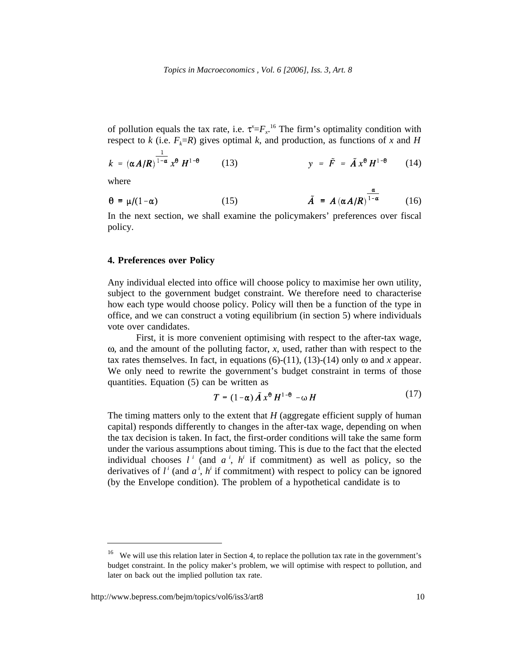of pollution equals the tax rate, i.e.  $\tau^x = F_{x}$ <sup>16</sup> The firm's optimality condition with respect to *k* (i.e.  $F_k=R$ ) gives optimal *k*, and production, as functions of *x* and *H* 

$$
k = (\alpha A/R)^{\frac{1}{1-\alpha}} x^{\theta} H^{1-\theta} \qquad (13) \qquad y = \tilde{F} = \tilde{A} x^{\theta} H^{1-\theta} \qquad (14)
$$

where

$$
\theta = \mu/(1-\alpha) \qquad (15) \qquad \tilde{A} = A(\alpha A/R)^{1-\alpha} \qquad (16)
$$

In the next section, we shall examine the policymakers' preferences over fiscal policy.

#### **4. Preferences over Policy**

Any individual elected into office will choose policy to maximise her own utility, subject to the government budget constraint. We therefore need to characterise how each type would choose policy. Policy will then be a function of the type in office, and we can construct a voting equilibrium (in section 5) where individuals vote over candidates.

First, it is more convenient optimising with respect to the after-tax wage, ω, and the amount of the polluting factor, *x*, used, rather than with respect to the tax rates themselves. In fact, in equations  $(6)-(11)$ ,  $(13)-(14)$  only  $\omega$  and x appear. We only need to rewrite the government's budget constraint in terms of those quantities. Equation (5) can be written as  $(17)$ 

$$
T = (1 - \alpha) \tilde{A} x^{\theta} H^{1 - \theta} - \omega H \tag{17}
$$

 $\pmb{\alpha}$ 

The timing matters only to the extent that *H* (aggregate efficient supply of human capital) responds differently to changes in the after-tax wage, depending on when the tax decision is taken. In fact, the first-order conditions will take the same form under the various assumptions about timing. This is due to the fact that the elected individual chooses  $l^i$  (and  $a^i$ ,  $h^i$  if commitment) as well as policy, so the derivatives of  $l^i$  (and  $a^i$ ,  $h^i$  if commitment) with respect to policy can be ignored (by the Envelope condition). The problem of a hypothetical candidate is to

<sup>&</sup>lt;sup>16</sup> We will use this relation later in Section 4, to replace the pollution tax rate in the government's budget constraint. In the policy maker's problem, we will optimise with respect to pollution, and later on back out the implied pollution tax rate.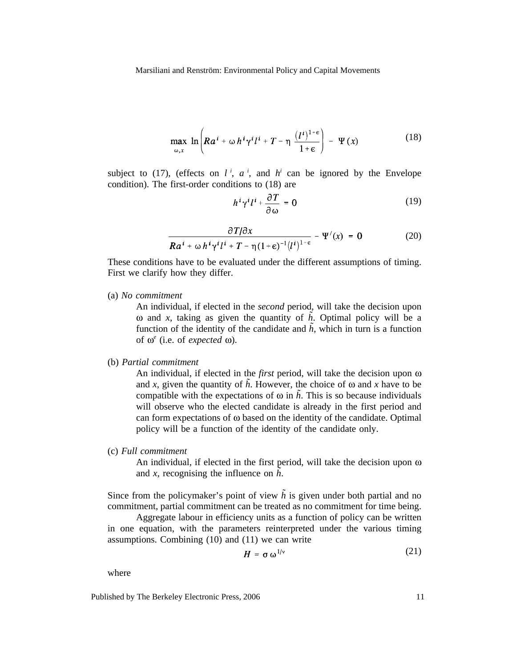$$
\max_{\omega, x} \ln \left( R a^{i} + \omega h^{i} \gamma^{i} l^{i} + T - \eta \frac{(l^{i})^{1+\epsilon}}{1+\epsilon} \right) - \Psi(x) \tag{18}
$$

subject to (17), (effects on  $l^i$ ,  $a^i$ , and  $h^i$  can be ignored by the Envelope condition). The first-order conditions to (18) are

$$
h^i \gamma^i l^i + \frac{\partial T}{\partial \omega} = 0 \tag{19}
$$

$$
\frac{\partial T/\partial x}{Ra^{i} + \omega h^{i} \gamma^{i} l^{i} + T - \eta (1 + \epsilon)^{-1} (l^{i})^{1 + \epsilon}} - \Psi'(x) = 0
$$
 (20)

These conditions have to be evaluated under the different assumptions of timing. First we clarify how they differ.

#### (a) *No commitment*

An individual, if elected in the *second* period, will take the decision upon  $\omega$  and *x*, taking as given the quantity of  $\tilde{h}$ . Optimal policy will be a function of the identity of the candidate and  $\tilde{h}$ , which in turn is a function of ω*<sup>e</sup>* (i.e. of *expected* ω).

#### (b) *Partial commitment*

An individual, if elected in the *first* period, will take the decision upon ω and *x*, given the quantity of  $\tilde{h}$ . However, the choice of  $\omega$  and *x* have to be compatible with the expectations of  $\omega$  in  $\tilde{h}$ . This is so because individuals will observe who the elected candidate is already in the first period and can form expectations of ω based on the identity of the candidate. Optimal policy will be a function of the identity of the candidate only.

#### (c) *Full commitment*

An individual, if elected in the first period, will take the decision upon ω and *x*, recognising the influence on  $\tilde{h}$ .

Since from the policymaker's point of view  $\tilde{h}$  is given under both partial and no commitment, partial commitment can be treated as no commitment for time being.

Aggregate labour in efficiency units as a function of policy can be written in one equation, with the parameters reinterpreted under the various timing assumptions. Combining (10) and (11) we can write  $(2.1)$ 

$$
H = \sigma \, \omega^{1/\nu} \tag{21}
$$

where

Published by The Berkeley Electronic Press, 2006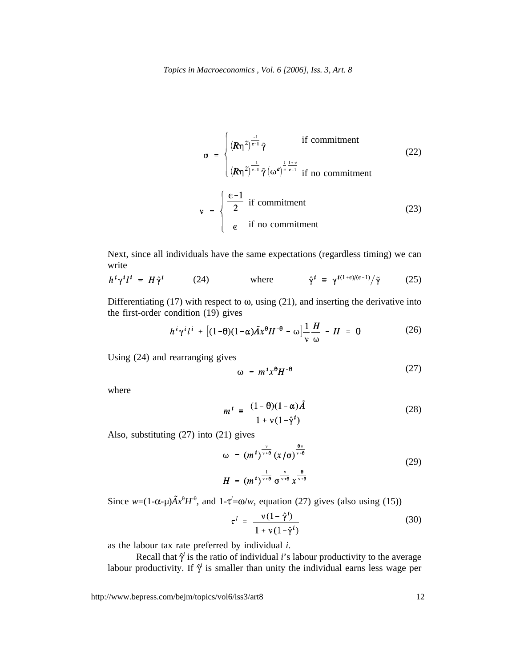*Topics in Macroeconomics , Vol. 6 [2006], Iss. 3, Art. 8*

$$
\sigma = \begin{cases}\n(R\eta^2)^{\frac{-1}{e-1}}\tilde{\gamma} & \text{if commitment} \\
(R\eta^2)^{\frac{-1}{e-1}}\tilde{\gamma}(\omega^e)^{\frac{1}{e}}^{\frac{1-e}{e-1}} & \text{if no commitment} \\
v = \begin{cases}\n\frac{e-1}{2} & \text{if commitment} \\
e & \text{if no commitment}\n\end{cases}\n\end{cases}
$$
\n(22)

Next, since all individuals have the same expectations (regardless timing) we can write

$$
h^{i}\gamma^{i}l^{i} = H\hat{\gamma}^{i} \qquad (24) \qquad \text{where} \qquad \hat{\gamma}^{i} \equiv \gamma^{i(1+\epsilon)/(e-1)}/\tilde{\gamma} \qquad (25)
$$

Differentiating (17) with respect to  $\omega$ , using (21), and inserting the derivative into the first-order condition (19) gives

$$
h^{i}\gamma^{i}l^{i} + \left[ (1-\theta)(1-\alpha)\tilde{A}x^{\theta}H^{-\theta} - \omega \right] \frac{1}{\nu} \frac{H}{\omega} - H = 0 \qquad (26)
$$

Using (24) and rearranging gives

$$
\omega = m^i x^{\theta} H^{-\theta} \tag{27}
$$

where

$$
m^{i} = \frac{(1 - \theta)(1 - \alpha)\tilde{A}}{1 + v(1 - \hat{\gamma}^{i})}
$$
 (28)

Also, substituting (27) into (21) gives

$$
\omega = (m^{i})^{\frac{\nu}{\nu+\theta}} (x/\sigma)^{\frac{\theta\nu}{\nu+\theta}}
$$
  

$$
H = (m^{i})^{\frac{1}{\nu+\theta}} \sigma^{\frac{\nu}{\nu+\theta}} x^{\frac{\theta}{\nu+\theta}}
$$
 (29)

Since  $w=(1-\alpha-\mu)\tilde{A}x^{\theta}H^{\theta}$ , and  $1-\tau'=\omega/w$ , equation (27) gives (also using (15))

$$
\tau^l = \frac{v(1-\hat{\gamma}^t)}{1+v(1-\hat{\gamma}^t)}
$$
(30)

as the labour tax rate preferred by individual *i*.

Recall that  $\hat{\gamma}$  is the ratio of individual *i*'s labour productivity to the average labour productivity. If  $\hat{\gamma}$  is smaller than unity the individual earns less wage per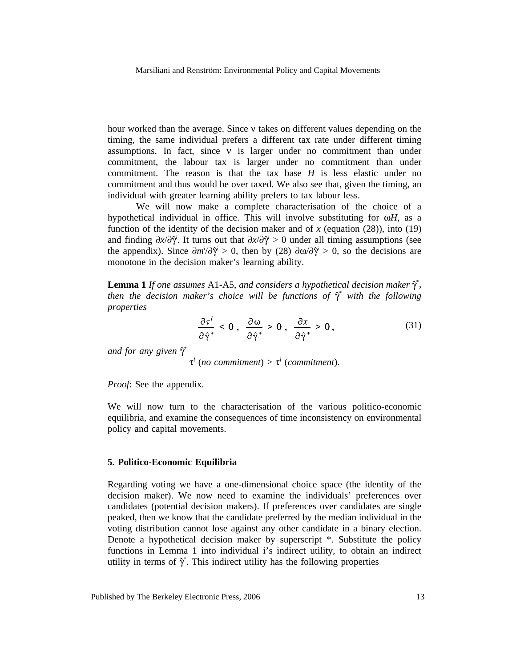hour worked than the average. Since ν takes on different values depending on the timing, the same individual prefers a different tax rate under different timing assumptions. In fact, since  $v$  is larger under no commitment than under commitment, the labour tax is larger under no commitment than under commitment. The reason is that the tax base *H* is less elastic under no commitment and thus would be over taxed. We also see that, given the timing, an individual with greater learning ability prefers to tax labour less.

We will now make a complete characterisation of the choice of a hypothetical individual in office. This will involve substituting for ω*H*, as a function of the identity of the decision maker and of  $x$  (equation (28)), into (19) and finding  $\partial x/\partial \hat{\gamma}$ . It turns out that  $\partial x/\partial \hat{\gamma} > 0$  under all timing assumptions (see the appendix). Since  $\frac{\partial m^i}{\partial \gamma^i} > 0$ , then by (28)  $\frac{\partial \omega}{\partial \gamma^i} > 0$ , so the decisions are monotone in the decision maker's learning ability.

**Lemma 1** *If one assumes* A1-A5, *and considers a hypothetical decision maker*  $\hat{\gamma}$ <sup>\*</sup>, then the decision maker's choice will be functions of  $\hat{\gamma}^*$  with the following *properties*

$$
\frac{\partial \tau^l}{\partial \hat{\gamma}^*} < 0 \ , \ \frac{\partial \omega}{\partial \hat{\gamma}^*} > 0 \ , \ \frac{\partial x}{\partial \hat{\gamma}^*} > 0 \ , \tag{31}
$$

*and for any given* γˆ \*

τ*<sup>l</sup>* (*no commitment*) > τ*<sup>l</sup>* (*commitment*).

*Proof*: See the appendix.

We will now turn to the characterisation of the various politico-economic equilibria, and examine the consequences of time inconsistency on environmental policy and capital movements.

#### **5. Politico-Economic Equilibria**

Regarding voting we have a one-dimensional choice space (the identity of the decision maker). We now need to examine the individuals' preferences over candidates (potential decision makers). If preferences over candidates are single peaked, then we know that the candidate preferred by the median individual in the voting distribution cannot lose against any other candidate in a binary election. Denote a hypothetical decision maker by superscript \*. Substitute the policy functions in Lemma 1 into individual i's indirect utility, to obtain an indirect utility in terms of  $\hat{\gamma}$ . This indirect utility has the following properties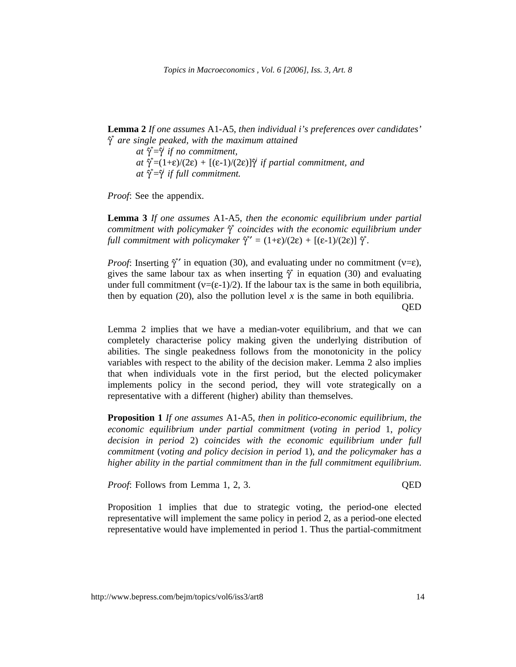**Lemma 2** *If one assumes* A1-A5, *then individual i's preferences over candidates'* γˆ \* *are single peaked, with the maximum attained*

*at* γˆ \* =ˆγ *<sup>i</sup> if no commitment,*  $at \hat{\gamma}^* = (1+\varepsilon)/(2\varepsilon) + [(\varepsilon-1)/(2\varepsilon)]\hat{\gamma}$  *if partial commitment, and at* γˆ \* =ˆγ *<sup>i</sup> if full commitment.*

*Proof*: See the appendix.

**Lemma 3** *If one assumes* A1-A5, *then the economic equilibrium under partial commitment with policymaker* γˆ \* *coincides with the economic equilibrium under* full commitment with policymaker  $\hat{\gamma}^* = (1+\varepsilon)/(2\varepsilon) + [(\varepsilon-1)/(2\varepsilon)] \hat{\gamma}^*$ .

*Proof*: Inserting  $\hat{\gamma}^*$  in equation (30), and evaluating under no commitment (v= $\varepsilon$ ), gives the same labour tax as when inserting  $\hat{\gamma}^*$  in equation (30) and evaluating under full commitment ( $v=(\epsilon-1)/2$ ). If the labour tax is the same in both equilibria, then by equation (20), also the pollution level  $x$  is the same in both equilibria. QED

Lemma 2 implies that we have a median-voter equilibrium, and that we can completely characterise policy making given the underlying distribution of abilities. The single peakedness follows from the monotonicity in the policy variables with respect to the ability of the decision maker. Lemma 2 also implies that when individuals vote in the first period, but the elected policymaker implements policy in the second period, they will vote strategically on a representative with a different (higher) ability than themselves.

**Proposition 1** *If one assumes* A1-A5, *then in politico-economic equilibrium, the economic equilibrium under partial commitment* (*voting in period* 1, *policy decision in period* 2) *coincides with the economic equilibrium under full commitment* (*voting and policy decision in period* 1), *and the policymaker has a higher ability in the partial commitment than in the full commitment equilibrium*.

*Proof*: Follows from Lemma 1, 2, 3. QED

Proposition 1 implies that due to strategic voting, the period-one elected representative will implement the same policy in period 2, as a period-one elected representative would have implemented in period 1. Thus the partial-commitment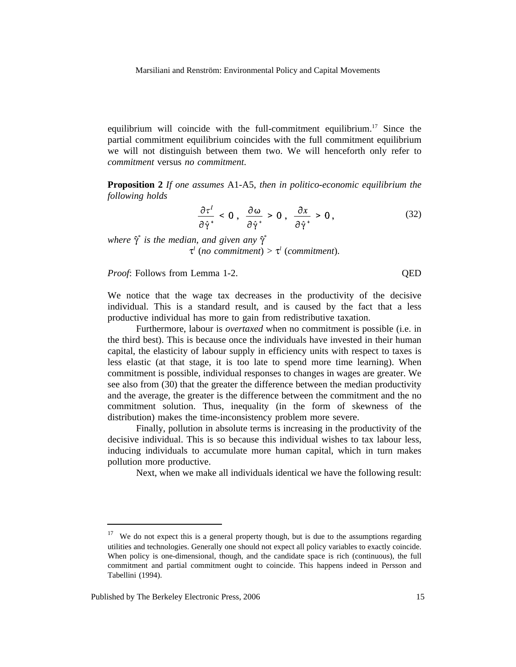equilibrium will coincide with the full-commitment equilibrium.<sup>17</sup> Since the partial commitment equilibrium coincides with the full commitment equilibrium we will not distinguish between them two. We will henceforth only refer to *commitment* versus *no commitment*.

**Proposition 2** *If one assumes* A1-A5, *then in politico-economic equilibrium the following holds*

$$
\frac{\partial \tau^l}{\partial \hat{\gamma}^*} < 0 \ , \ \frac{\partial \omega}{\partial \hat{\gamma}^*} > 0 \ , \ \frac{\partial x}{\partial \hat{\gamma}^*} > 0 \ , \tag{32}
$$

where  $\hat{\gamma}^*$  *is the median, and given any*  $\hat{\gamma}^*$ τ*<sup>l</sup>* (*no commitment*) > τ*<sup>l</sup>* (*commitment*).

*Proof*: Follows from Lemma 1-2. QED

We notice that the wage tax decreases in the productivity of the decisive individual. This is a standard result, and is caused by the fact that a less productive individual has more to gain from redistributive taxation.

Furthermore, labour is *overtaxed* when no commitment is possible (i.e. in the third best). This is because once the individuals have invested in their human capital, the elasticity of labour supply in efficiency units with respect to taxes is less elastic (at that stage, it is too late to spend more time learning). When commitment is possible, individual responses to changes in wages are greater. We see also from (30) that the greater the difference between the median productivity and the average, the greater is the difference between the commitment and the no commitment solution. Thus, inequality (in the form of skewness of the distribution) makes the time-inconsistency problem more severe.

Finally, pollution in absolute terms is increasing in the productivity of the decisive individual. This is so because this individual wishes to tax labour less, inducing individuals to accumulate more human capital, which in turn makes pollution more productive.

Next, when we make all individuals identical we have the following result:

 $17$  We do not expect this is a general property though, but is due to the assumptions regarding utilities and technologies. Generally one should not expect all policy variables to exactly coincide. When policy is one-dimensional, though, and the candidate space is rich (continuous), the full commitment and partial commitment ought to coincide. This happens indeed in Persson and Tabellini (1994).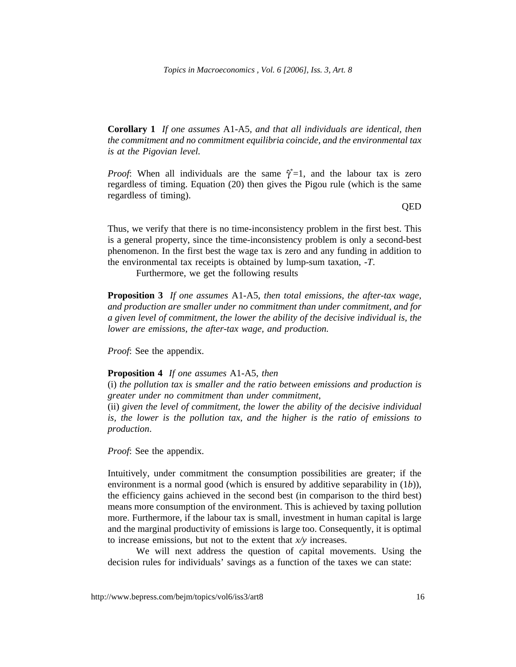**Corollary 1** *If one assumes* A1-A5*, and that all individuals are identical, then the commitment and no commitment equilibria coincide, and the environmental tax is at the Pigovian level.*

*Proof*: When all individuals are the same  $\hat{\gamma}^* = 1$ , and the labour tax is zero regardless of timing. Equation (20) then gives the Pigou rule (which is the same regardless of timing).

QED

Thus, we verify that there is no time-inconsistency problem in the first best. This is a general property, since the time-inconsistency problem is only a second-best phenomenon. In the first best the wage tax is zero and any funding in addition to the environmental tax receipts is obtained by lump-sum taxation, -*T*.

Furthermore, we get the following results

**Proposition 3** *If one assumes* A1-A5, *then total emissions, the after-tax wage, and production are smaller under no commitment than under commitment, and for a given level of commitment, the lower the ability of the decisive individual is, the lower are emissions, the after-tax wage, and production.*

*Proof*: See the appendix.

#### **Proposition 4** *If one assumes* A1-A5, *then*

(i) *the pollution tax is smaller and the ratio between emissions and production is greater under no commitment than under commitment*,

(ii) *given the level of commitment, the lower the ability of the decisive individual is, the lower is the pollution tax, and the higher is the ratio of emissions to production*.

*Proof*: See the appendix.

Intuitively, under commitment the consumption possibilities are greater; if the environment is a normal good (which is ensured by additive separability in (1*b*)), the efficiency gains achieved in the second best (in comparison to the third best) means more consumption of the environment. This is achieved by taxing pollution more. Furthermore, if the labour tax is small, investment in human capital is large and the marginal productivity of emissions is large too. Consequently, it is optimal to increase emissions, but not to the extent that *x/y* increases.

We will next address the question of capital movements. Using the decision rules for individuals' savings as a function of the taxes we can state: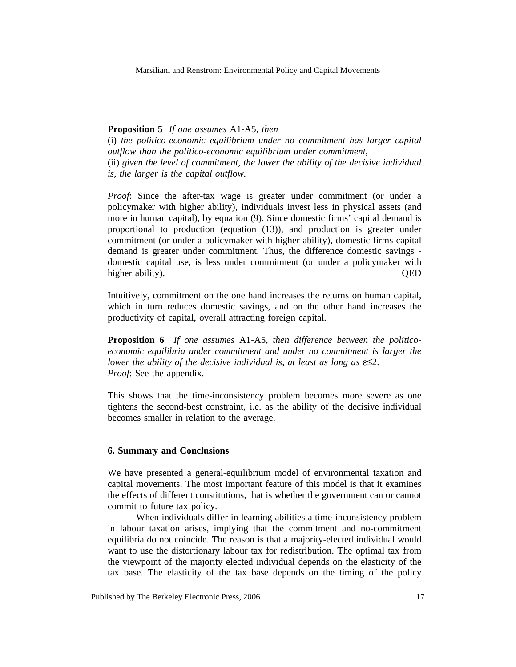#### **Proposition 5** *If one assumes* A1-A5, *then*

(i) *the politico-economic equilibrium under no commitment has larger capital outflow than the politico-economic equilibrium under commitment*, (ii) *given the level of commitment, the lower the ability of the decisive individual is, the larger is the capital outflow.*

*Proof*: Since the after-tax wage is greater under commitment (or under a policymaker with higher ability), individuals invest less in physical assets (and more in human capital), by equation (9). Since domestic firms' capital demand is proportional to production (equation (13)), and production is greater under commitment (or under a policymaker with higher ability), domestic firms capital demand is greater under commitment. Thus, the difference domestic savings domestic capital use, is less under commitment (or under a policymaker with higher ability). QED

Intuitively, commitment on the one hand increases the returns on human capital, which in turn reduces domestic savings, and on the other hand increases the productivity of capital, overall attracting foreign capital.

**Proposition 6** *If one assumes* A1-A5, *then difference between the politicoeconomic equilibria under commitment and under no commitment is larger the lower the ability of the decisive individual is, at least as long as* ε≤2. *Proof*: See the appendix.

This shows that the time-inconsistency problem becomes more severe as one tightens the second-best constraint, i.e. as the ability of the decisive individual becomes smaller in relation to the average.

#### **6. Summary and Conclusions**

We have presented a general-equilibrium model of environmental taxation and capital movements. The most important feature of this model is that it examines the effects of different constitutions, that is whether the government can or cannot commit to future tax policy.

When individuals differ in learning abilities a time-inconsistency problem in labour taxation arises, implying that the commitment and no-commitment equilibria do not coincide. The reason is that a majority-elected individual would want to use the distortionary labour tax for redistribution. The optimal tax from the viewpoint of the majority elected individual depends on the elasticity of the tax base. The elasticity of the tax base depends on the timing of the policy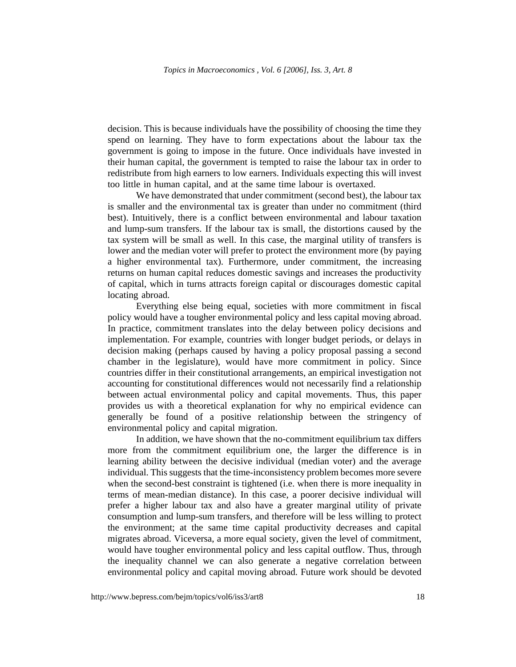decision. This is because individuals have the possibility of choosing the time they spend on learning. They have to form expectations about the labour tax the government is going to impose in the future. Once individuals have invested in their human capital, the government is tempted to raise the labour tax in order to redistribute from high earners to low earners. Individuals expecting this will invest too little in human capital, and at the same time labour is overtaxed.

We have demonstrated that under commitment (second best), the labour tax is smaller and the environmental tax is greater than under no commitment (third best). Intuitively, there is a conflict between environmental and labour taxation and lump-sum transfers. If the labour tax is small, the distortions caused by the tax system will be small as well. In this case, the marginal utility of transfers is lower and the median voter will prefer to protect the environment more (by paying a higher environmental tax). Furthermore, under commitment, the increasing returns on human capital reduces domestic savings and increases the productivity of capital, which in turns attracts foreign capital or discourages domestic capital locating abroad.

Everything else being equal, societies with more commitment in fiscal policy would have a tougher environmental policy and less capital moving abroad. In practice, commitment translates into the delay between policy decisions and implementation. For example, countries with longer budget periods, or delays in decision making (perhaps caused by having a policy proposal passing a second chamber in the legislature), would have more commitment in policy. Since countries differ in their constitutional arrangements, an empirical investigation not accounting for constitutional differences would not necessarily find a relationship between actual environmental policy and capital movements. Thus, this paper provides us with a theoretical explanation for why no empirical evidence can generally be found of a positive relationship between the stringency of environmental policy and capital migration.

In addition, we have shown that the no-commitment equilibrium tax differs more from the commitment equilibrium one, the larger the difference is in learning ability between the decisive individual (median voter) and the average individual. This suggests that the time-inconsistency problem becomes more severe when the second-best constraint is tightened (i.e. when there is more inequality in terms of mean-median distance). In this case, a poorer decisive individual will prefer a higher labour tax and also have a greater marginal utility of private consumption and lump-sum transfers, and therefore will be less willing to protect the environment; at the same time capital productivity decreases and capital migrates abroad. Viceversa, a more equal society, given the level of commitment, would have tougher environmental policy and less capital outflow. Thus, through the inequality channel we can also generate a negative correlation between environmental policy and capital moving abroad. Future work should be devoted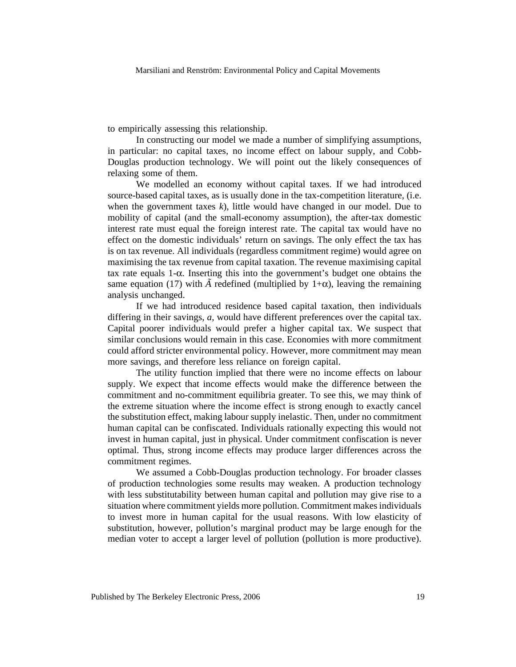to empirically assessing this relationship.

In constructing our model we made a number of simplifying assumptions, in particular: no capital taxes, no income effect on labour supply, and Cobb-Douglas production technology. We will point out the likely consequences of relaxing some of them.

We modelled an economy without capital taxes. If we had introduced source-based capital taxes, as is usually done in the tax-competition literature, (i.e. when the government taxes *k*), little would have changed in our model. Due to mobility of capital (and the small-economy assumption), the after-tax domestic interest rate must equal the foreign interest rate. The capital tax would have no effect on the domestic individuals' return on savings. The only effect the tax has is on tax revenue. All individuals (regardless commitment regime) would agree on maximising the tax revenue from capital taxation. The revenue maximising capital tax rate equals 1-α. Inserting this into the government's budget one obtains the same equation (17) with  $\tilde{A}$  redefined (multiplied by 1+ $\alpha$ ), leaving the remaining analysis unchanged.

If we had introduced residence based capital taxation, then individuals differing in their savings, *a*, would have different preferences over the capital tax. Capital poorer individuals would prefer a higher capital tax. We suspect that similar conclusions would remain in this case. Economies with more commitment could afford stricter environmental policy. However, more commitment may mean more savings, and therefore less reliance on foreign capital.

The utility function implied that there were no income effects on labour supply. We expect that income effects would make the difference between the commitment and no-commitment equilibria greater. To see this, we may think of the extreme situation where the income effect is strong enough to exactly cancel the substitution effect, making labour supply inelastic. Then, under no commitment human capital can be confiscated. Individuals rationally expecting this would not invest in human capital, just in physical. Under commitment confiscation is never optimal. Thus, strong income effects may produce larger differences across the commitment regimes.

We assumed a Cobb-Douglas production technology. For broader classes of production technologies some results may weaken. A production technology with less substitutability between human capital and pollution may give rise to a situation where commitment yields more pollution. Commitment makes individuals to invest more in human capital for the usual reasons. With low elasticity of substitution, however, pollution's marginal product may be large enough for the median voter to accept a larger level of pollution (pollution is more productive).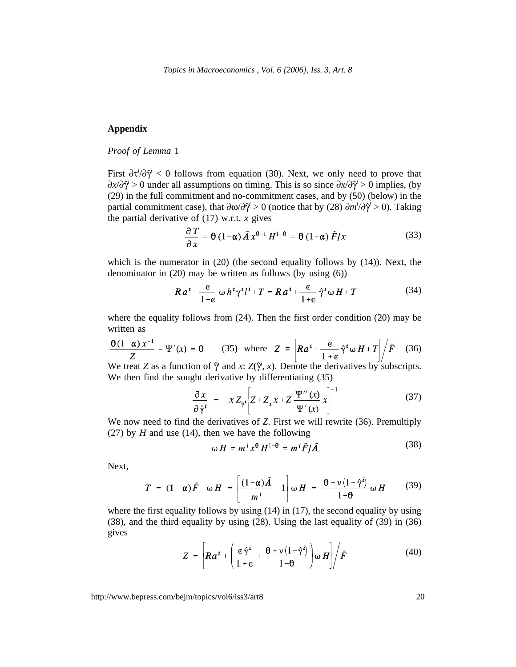#### **Appendix**

#### *Proof of Lemma* 1

First  $\frac{\partial \tau}{\partial \hat{Y}}$  < 0 follows from equation (30). Next, we only need to prove that  $\partial$ *x*/∂γ<sup>*i*</sup> > 0 under all assumptions on timing. This is so since  $\partial$ *x*/∂γ<sup>*i*</sup> > 0 implies, (by (29) in the full commitment and no-commitment cases, and by (50) (below) in the *partial commitment case), that*  $\frac{\partial \omega}{\partial \gamma} > 0$  *(notice that by (28)*  $\frac{\partial m^i}{\partial \gamma} > 0$ *). Taking* the partial derivative of  $(17)$  w.r.t. *x* gives

$$
\frac{\partial T}{\partial x} = \mathbf{\Theta} \left( 1 - \alpha \right) \tilde{A} x^{\mathbf{\Theta} - 1} H^{1 - \mathbf{\Theta}} = \mathbf{\Theta} \left( 1 - \alpha \right) \tilde{F} / x \tag{33}
$$

which is the numerator in  $(20)$  (the second equality follows by  $(14)$ ). Next, the denominator in (20) may be written as follows (by using (6))

$$
Ra^{i} + \frac{\epsilon}{1+\epsilon} \omega h^{i} \gamma^{i} l^{i} + T = Ra^{i} + \frac{\epsilon}{1+\epsilon} \hat{\gamma}^{i} \omega H + T
$$
 (34)

where the equality follows from (24). Then the first order condition (20) may be written as

$$
\frac{\Theta(1-\alpha)x^{-1}}{Z} - \Psi'(x) = 0 \qquad (35) \text{ where } Z = \left[ Ra^{i} + \frac{\varepsilon}{1+\varepsilon} \hat{\gamma}^{i} \omega H + T \right] / \tilde{F} \qquad (36)
$$

We treat *Z* as a function of  $\hat{\gamma}$  and *x*:  $Z(\hat{\gamma}, x)$ . Denote the derivatives by subscripts. We then find the sought derivative by differentiating  $(35)$ 

$$
\frac{\partial x}{\partial \hat{\gamma}^i} = -x Z_{\hat{\gamma}^i} \bigg[ Z + Z_x x + Z \frac{\Psi''(x)}{\Psi'(x)} x \bigg]^{-1} \tag{37}
$$

We now need to find the derivatives of *Z*. First we will rewrite (36). Premultiply (27) by  $H$  and use (14), then we have the following

$$
\omega H = m^{i} x^{\theta} H^{1-\theta} = m^{i} \tilde{F} / \tilde{A}
$$
 (38)

Next,

$$
T = (1 - \alpha)\tilde{F} - \omega H = \left[\frac{(1 - \alpha)\tilde{A}}{m^i} - 1\right]\omega H = \frac{\theta + v(1 - \hat{\gamma}^i)}{1 - \theta} \omega H \qquad (39)
$$

where the first equality follows by using (14) in (17), the second equality by using (38), and the third equality by using (28). Using the last equality of (39) in (36) gives

$$
Z = \left[ Ra^{i} + \left( \frac{\varepsilon \hat{\gamma}^{i}}{1 + \varepsilon} + \frac{\theta + \nu (1 - \hat{\gamma}^{i})}{1 - \theta} \right) \omega H \right] / \tilde{F}
$$
(40)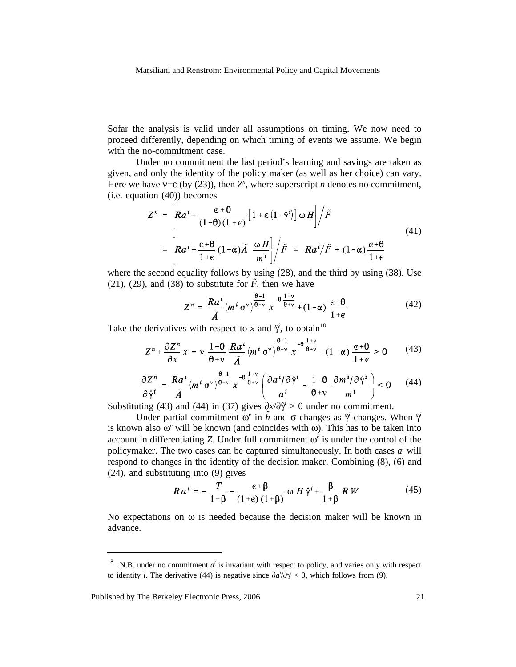Sofar the analysis is valid under all assumptions on timing. We now need to proceed differently, depending on which timing of events we assume. We begin with the no-commitment case.

Under no commitment the last period's learning and savings are taken as given, and only the identity of the policy maker (as well as her choice) can vary. Here we have  $v = \varepsilon$  (by (23)), then  $Z<sup>n</sup>$ , where superscript *n* denotes no commitment, (i.e. equation (40)) becomes

$$
Z^{n} = \left[ Ra^{i} + \frac{\varepsilon + \theta}{(1 - \theta)(1 + \varepsilon)} \left[ 1 + \varepsilon (1 - \hat{\gamma}^{i}) \right] \omega H \right] / \tilde{F}
$$
  
= 
$$
\left[ Ra^{i} + \frac{\varepsilon + \theta}{1 + \varepsilon} (1 - \alpha) \tilde{A} \frac{\omega H}{m^{i}} \right] / \tilde{F} = Ra^{i} / \tilde{F} + (1 - \alpha) \frac{\varepsilon + \theta}{1 + \varepsilon}
$$
 (41)

where the second equality follows by using (28), and the third by using (38). Use (21), (29), and (38) to substitute for  $\tilde{F}$ , then we have

$$
Z^{n} = \frac{Ra^{i}}{\tilde{A}} (m^{i} \sigma^{v})^{\frac{\theta-1}{\theta+v}} x^{-\theta \frac{1+v}{\theta+v}} + (1-\alpha) \frac{\epsilon \cdot \theta}{1+\epsilon}
$$
(42)

Take the derivatives with respect to *x* and  $\hat{\gamma}$ , to obtain<sup>18</sup>

$$
Z^{n} + \frac{\partial Z^{n}}{\partial x} x = v \frac{1-\theta}{\theta+v} \frac{R a^{i}}{\tilde{A}} (m^{i} \sigma^{v})^{\frac{\theta-1}{\theta+v}} x^{-\theta \frac{1+v}{\theta+v}} + (1-\alpha) \frac{\epsilon+\theta}{1+\epsilon} > 0
$$
 (43)

$$
\frac{\partial Z^n}{\partial \hat{\gamma}^i} = \frac{Ra^i}{\tilde{A}} (m^i \sigma^v)^{\frac{\theta-1}{\theta+v}} x^{-\theta \frac{1+v}{\theta+v}} \left( \frac{\partial a^i/\partial \hat{\gamma}^i}{a^i} - \frac{1-\theta}{\theta+v} \frac{\partial m^i/\partial \hat{\gamma}^i}{m^i} \right) < 0 \qquad (44)
$$

Substituting (43) and (44) in (37) gives  $\partial x/\partial \hat{\gamma} > 0$  under no commitment.

Under partial commitment  $\omega^e$  in  $\tilde{h}$  and  $\sigma$  changes as  $\gamma$  changes. When  $\gamma$ is known also  $\omega^e$  will be known (and coincides with  $\omega$ ). This has to be taken into account in differentiating *Z*. Under full commitment ω*<sup>e</sup>* is under the control of the policymaker. The two cases can be captured simultaneously. In both cases *ai* will respond to changes in the identity of the decision maker. Combining (8), (6) and (24), and substituting into (9) gives

$$
Ra^{i} = -\frac{T}{1+\beta} - \frac{\varepsilon+\beta}{(1+\varepsilon)(1+\beta)} \omega H \hat{\gamma}^{i} + \frac{\beta}{1+\beta} R W \qquad (45)
$$

No expectations on ω is needed because the decision maker will be known in advance.

<sup>&</sup>lt;sup>18</sup> N.B. under no commitment  $a^i$  is invariant with respect to policy, and varies only with respect to identity *i*. The derivative (44) is negative since ∂*ai* /∂γ*<sup>i</sup>* < 0, which follows from (9).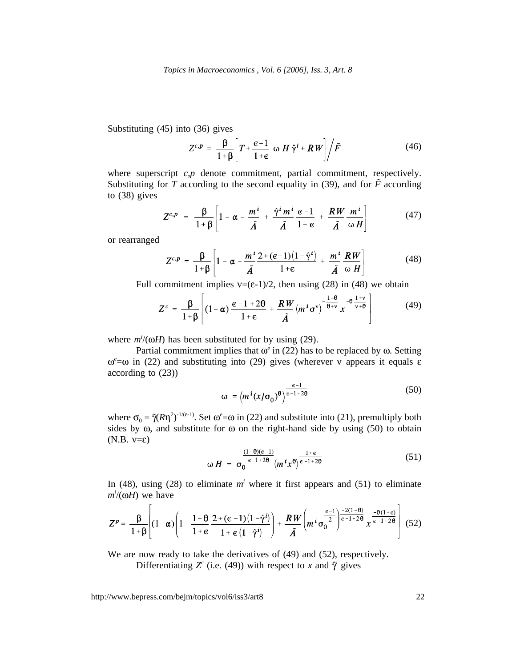Substituting (45) into (36) gives

$$
Z^{c,p} = \frac{\beta}{1+\beta} \left[ T + \frac{c-1}{1+c} \omega H \hat{\gamma}^i + R W \right] / \tilde{F}
$$
 (46)

where superscript *c*,*p* denote commitment, partial commitment, respectively. Substituting for *T* according to the second equality in (39), and for  $\tilde{F}$  according to (38) gives

$$
Z^{c,p} = \frac{\beta}{1+\beta} \left[ 1 - \alpha - \frac{m^i}{\tilde{A}} + \frac{\hat{\gamma}^i m^i}{\tilde{A}} \frac{\varepsilon - 1}{1+\varepsilon} + \frac{RW}{\tilde{A}} \frac{m^i}{\omega H} \right]
$$
(47)

or rearranged

$$
Z^{c,p} = \frac{\beta}{1+\beta} \left[ 1 - \alpha - \frac{m^i}{\tilde{A}} \frac{2 + (c-1)(1-\hat{\gamma}^i)}{1+c} + \frac{m^i}{\tilde{A}} \frac{RW}{\omega H} \right]
$$
(48)

Full commitment implies  $v=(\epsilon-1)/2$ , then using (28) in (48) we obtain

$$
Z^{c} = \frac{\beta}{1+\beta} \left[ (1-\alpha) \frac{\varepsilon - 1 + 2\theta}{1+\varepsilon} + \frac{RW}{\tilde{A}} (m^{i} \sigma^{v})^{-\frac{1-\theta}{\theta+v}} x^{-\theta \frac{1+v}{v+\theta}} \right]
$$
(49)

where  $m^{i}$ /( $\omega$ *H*) has been substituted for by using (29).

Partial commitment implies that  $\omega^e$  in (22) has to be replaced by  $\omega$ . Setting  $ω<sup>e</sup> = ω$  in (22) and substituting into (29) gives (wherever v appears it equals  $ε$ according to (23))

$$
\omega = \left( m^i (x/\sigma_0)^{\theta} \right)^{\frac{\epsilon - 1}{\epsilon - 1 + 2\theta}}
$$
 (50)

where  $\sigma_0 = \tilde{\gamma}(R\eta^2)^{-1/(\epsilon-1)}$ . Set  $\omega^e = \omega$  in (22) and substitute into (21), premultiply both sides by  $\omega$ , and substitute for  $\omega$  on the right-hand side by using (50) to obtain (N.B.  $v=\epsilon$ )

$$
\omega H = \sigma_0^{\frac{(1-\Theta)(\epsilon-1)}{\epsilon-1+2\Theta}} (m^i x^{\Theta})^{\frac{1+\epsilon}{\epsilon-1+2\Theta}}
$$
(51)

In (48), using (28) to eliminate  $m<sup>i</sup>$  where it first appears and (51) to eliminate  $m^i$ /(ω*H*) we have

$$
Z^{p} = \frac{\beta}{1+\beta} \left[ (1-\alpha) \left( 1 - \frac{1-\theta}{1+\varepsilon} \frac{2+(\varepsilon-1)(1-\hat{\gamma}^{i})}{1+\varepsilon(1-\hat{\gamma}^{i})} \right) + \frac{RW}{\tilde{A}} \left( m^{i} \sigma_{0}^{\frac{\varepsilon-1}{2}} \right)^{\frac{-2(1-\theta)}{\varepsilon-1+2\theta}} x^{\frac{-\theta(1+\varepsilon)}{\varepsilon-1+2\theta}} \right] (52)
$$

We are now ready to take the derivatives of  $(49)$  and  $(52)$ , respectively. Differentiating  $Z^c$  (i.e. (49)) with respect to *x* and  $\hat{\gamma}$  gives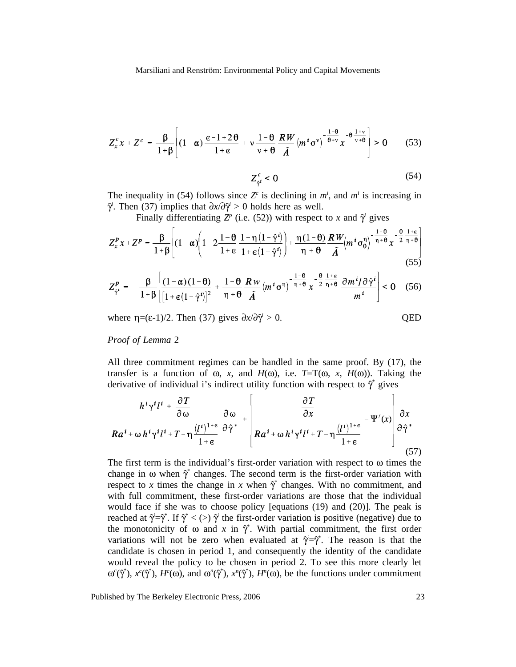$$
Z_x^c x + Z^c = \frac{\beta}{1+\beta} \left[ (1-\alpha) \frac{\varepsilon - 1 + 2\theta}{1+\varepsilon} + \nu \frac{1-\theta}{\nu+\theta} \frac{R W}{\tilde{A}} (m^i \sigma^v)^{-\frac{1-\theta}{\theta+\nu}} x^{-\frac{\theta}{\nu+\theta}} \right] > 0 \quad (53)
$$

$$
Z_{\gamma^i}^c < 0 \tag{54}
$$

The inequality in (54) follows since  $Z^c$  is declining in  $m^i$ , and  $m^i$  is increasing in  $\hat{\gamma}$ . Then (37) implies that  $\partial x/\partial \hat{\gamma} > 0$  holds here as well.

Finally differentiating  $Z^p$  (i.e. (52)) with respect to *x* and  $\hat{\gamma}^i$  gives

$$
Z_x^{\mathbf{p}} x + Z^{\mathbf{p}} = \frac{\beta}{1 + \beta} \left[ (1 - \alpha) \left( 1 - 2 \frac{1 - \theta}{1 + \epsilon} \frac{1 + \eta (1 - \hat{\gamma}^i)}{1 + \epsilon (1 - \hat{\gamma}^i)} \right) + \frac{\eta (1 - \theta)}{\eta + \theta} \frac{\mathbf{R} W}{\tilde{A}} (m^i \sigma_0^n) \right]^{-\frac{1 - \theta}{\eta + \theta}} x^{-\frac{\theta}{2} \frac{1 + \epsilon}{\eta + \theta}} \tag{55}
$$

$$
Z_{\hat{\gamma}^i}^p = -\frac{\beta}{1+\beta} \left[ \frac{(1-\alpha)(1-\theta)}{\left[1+\varepsilon(1-\hat{\gamma}^i)\right]^2} + \frac{1-\theta}{\eta+\theta} \frac{R w}{\tilde{A}} \left(m^i \sigma^{\eta}\right)^{-\frac{1-\theta}{\eta+\theta}} x^{-\frac{\theta}{2} \frac{1+\varepsilon}{\eta+\theta}} \frac{\partial m^i/\partial \hat{\gamma}^i}{m^i} \right] < 0 \quad (56)
$$

where  $\eta = (\epsilon - 1)/2$ . Then (37) gives  $\partial x / \partial \hat{\gamma} > 0$ . QED

*Proof of Lemma* 2

All three commitment regimes can be handled in the same proof. By (17), the transfer is a function of  $\omega$ , *x*, and  $H(\omega)$ , i.e.  $T=T(\omega, x, H(\omega))$ . Taking the derivative of individual i's indirect utility function with respect to  $\hat{\gamma}^*$  gives

$$
\frac{h^i \gamma^i l^i + \frac{\partial T}{\partial \omega}}{Ra^i + \omega h^i \gamma^i l^i + T - \eta \frac{(l^i)^{1+\epsilon}}{1+\epsilon}} \frac{\partial \omega}{\partial \hat{\gamma}^*} + \left| \frac{\frac{\partial T}{\partial x}}{Ra^i + \omega h^i \gamma^i l^i + T - \eta \frac{(l^i)^{1+\epsilon}}{1+\epsilon}} - \Psi'(x) \right| \frac{\partial x}{\partial \hat{\gamma}^*}
$$
(57)

The first term is the individual's first-order variation with respect to  $\omega$  times the change in  $\omega$  when  $\gamma^*$  changes. The second term is the first-order variation with respect to *x* times the change in *x* when  $\hat{\gamma}$  changes. With no commitment, and with full commitment, these first-order variations are those that the individual would face if she was to choose policy [equations (19) and (20)]. The peak is reached at  $\hat{\gamma} = \hat{\gamma}^*$ . If  $\hat{\gamma}^* < (\geq)$   $\hat{\gamma}$  the first-order variation is positive (negative) due to the monotonicity of  $\omega$  and  $x$  in  $\hat{\gamma}$ . With partial commitment, the first order variations will not be zero when evaluated at  $\hat{\gamma} = \hat{\gamma}^*$ . The reason is that the candidate is chosen in period 1, and consequently the identity of the candidate would reveal the policy to be chosen in period 2. To see this more clearly let  $ω<sup>c</sup>(\hat{\gamma}^*)$ ,  $H<sup>c</sup>(ω)$ , and  $ω<sup>n</sup>(\hat{\gamma}^*)$ ,  $x<sup>n</sup>(\hat{\gamma}^*)$ ,  $H<sup>n</sup>(ω)$ , be the functions under commitment

Published by The Berkeley Electronic Press, 2006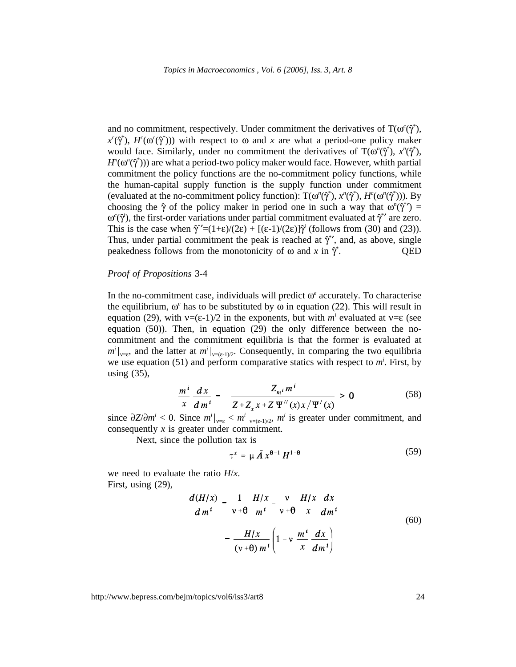and no commitment, respectively. Under commitment the derivatives of  $T(\omega^c(\gamma^*),$  $x^c(\hat{\gamma}^*)$ ,  $H^c(\omega^c(\hat{\gamma}^*))$ ) with respect to  $\omega$  and *x* are what a period-one policy maker would face. Similarly, under no commitment the derivatives of  $T(\omega^n(\hat{\gamma}^*), x^n(\hat{\gamma}^*))$ ,  $H^n(\omega^n(\gamma^*))$ ) are what a period-two policy maker would face. However, whith partial commitment the policy functions are the no-commitment policy functions, while the human-capital supply function is the supply function under commitment (evaluated at the no-commitment policy function):  $T(\omega^n(\hat{\gamma}^*), x^n(\hat{\gamma}^*), H^c(\omega^n(\hat{\gamma}^*)))$ . By choosing the  $\hat{\gamma}$  of the policy maker in period one in such a way that  $\omega^n(\hat{\gamma}^*)$ ω<sup>c</sup>(γ<sup>*i*</sup>), the first-order variations under partial commitment evaluated at γ<sup>\*</sup>' are zero. This is the case when  $\hat{\gamma}^* = (1+\varepsilon)/(2\varepsilon) + [(\varepsilon-1)/(2\varepsilon)]\hat{\gamma}$  (follows from (30) and (23)). Thus, under partial commitment the peak is reached at  $\hat{\gamma}^*$ , and, as above, single peakedness follows from the monotonicity of  $\omega$  and  $x$  in  $\hat{\gamma}^*$ . QED

#### *Proof of Propositions* 3-4

In the no-commitment case, individuals will predict ω*<sup>e</sup>* accurately. To characterise the equilibrium,  $\omega^e$  has to be substituted by  $\omega$  in equation (22). This will result in equation (29), with  $v=(\epsilon-1)/2$  in the exponents, but with  $m^{i}$  evaluated at  $v=\epsilon$  (see equation (50)). Then, in equation (29) the only difference between the nocommitment and the commitment equilibria is that the former is evaluated at  $m^i|_{v=\varepsilon}$ , and the latter at  $m^i|_{v=(\varepsilon-1)/2}$ . Consequently, in comparing the two equilibria we use equation  $(51)$  and perform comparative statics with respect to  $m<sup>i</sup>$ . First, by using (35),

$$
\frac{m^{i}}{x}\frac{dx}{dm^{i}} = -\frac{Z_{m^{i}}m^{i}}{Z + Z_{x}x + Z\Psi''(x)x/\Psi'(x)} > 0
$$
\n(58)

since  $\partial Z/\partial m^i < 0$ . Since  $m^i|_{v=\varepsilon} < m^i|_{v=(\varepsilon-1)/2}$ ,  $m^i$  is greater under commitment, and consequently *x* is greater under commitment.

Next, since the pollution tax is

$$
\tau^x = \mu \tilde{A} x^{\theta - 1} H^{1 - \theta} \tag{59}
$$

we need to evaluate the ratio *H*/*x*. First, using (29),

$$
\frac{d(H/x)}{dm^i} = \frac{1}{v+\theta} \frac{H/x}{m^i} - \frac{v}{v+\theta} \frac{H/x}{x} \frac{dx}{dm^i}
$$
\n
$$
= \frac{H/x}{(v+\theta) m^i} \left(1 - v \frac{m^i}{x} \frac{dx}{dm^i}\right)
$$
\n(60)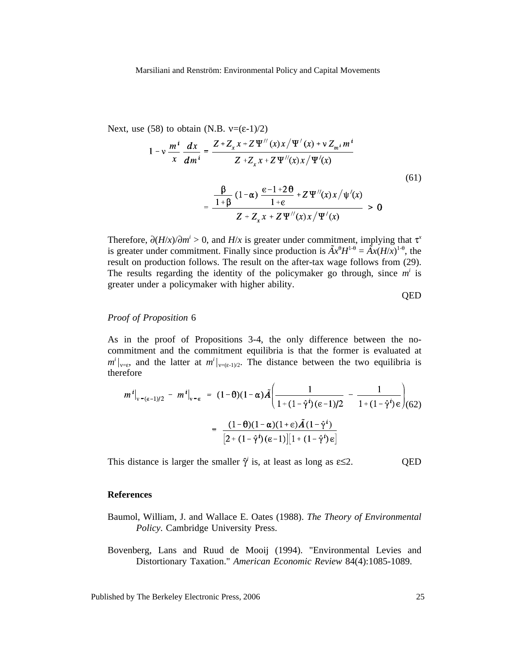Next, use (58) to obtain (N.B.  $v=(\epsilon-1)/2$ )

$$
1 - v \frac{m^{i}}{x} \frac{dx}{dm^{i}} = \frac{Z + Z_{x} x + Z \Psi''(x) x / \Psi'(x) + v Z_{m^{i}} m^{i}}{Z + Z_{x} x + Z \Psi''(x) x / \Psi'(x)}
$$
(61)  

$$
= \frac{\frac{\beta}{1 + \beta} (1 - \alpha) \frac{\epsilon - 1 + 2\theta}{1 + \epsilon} + Z \Psi''(x) x / \Psi'(x)}{Z + Z_{x} x + Z \Psi''(x) x / \Psi'(x)} > 0
$$

Therefore,  $\partial(H/x)/\partial m^i > 0$ , and  $H/x$  is greater under commitment, implying that  $\tau^x$ is greater under commitment. Finally since production is  $\tilde{A}x^{\theta}H^{1-\theta} = \tilde{A}x(H/x)^{1-\theta}$ , the result on production follows. The result on the after-tax wage follows from (29). The results regarding the identity of the policymaker go through, since  $m<sup>i</sup>$  is greater under a policymaker with higher ability.

QED

#### *Proof of Proposition* 6

As in the proof of Propositions 3-4, the only difference between the nocommitment and the commitment equilibria is that the former is evaluated at  $m^i|_{v=\varepsilon}$ , and the latter at  $m^i|_{v=(\varepsilon-1)/2}$ . The distance between the two equilibria is therefore

$$
m^{i}|_{v=(\epsilon-1)/2} - m^{i}|_{v=\epsilon} = (1-\theta)(1-\alpha)\tilde{A}\left(\frac{1}{1+(1-\hat{\gamma}^{i})(\epsilon-1)/2} - \frac{1}{1+(1-\hat{\gamma}^{i})\epsilon}\right)_{(62)}
$$
  
= 
$$
\frac{(1-\theta)(1-\alpha)(1+\epsilon)\tilde{A}(1-\hat{\gamma}^{i})}{[2+(1-\hat{\gamma}^{i})(\epsilon-1)][1+(1-\hat{\gamma}^{i})\epsilon]}
$$

This distance is larger the smaller  $\hat{\gamma}$  is, at least as long as  $\varepsilon \leq 2$ . QED

#### **References**

- Baumol, William, J. and Wallace E. Oates (1988). *The Theory of Environmental Policy*. Cambridge University Press.
- Bovenberg, Lans and Ruud de Mooij (1994). "Environmental Levies and Distortionary Taxation." *American Economic Review* 84(4):1085-1089.

Published by The Berkeley Electronic Press, 2006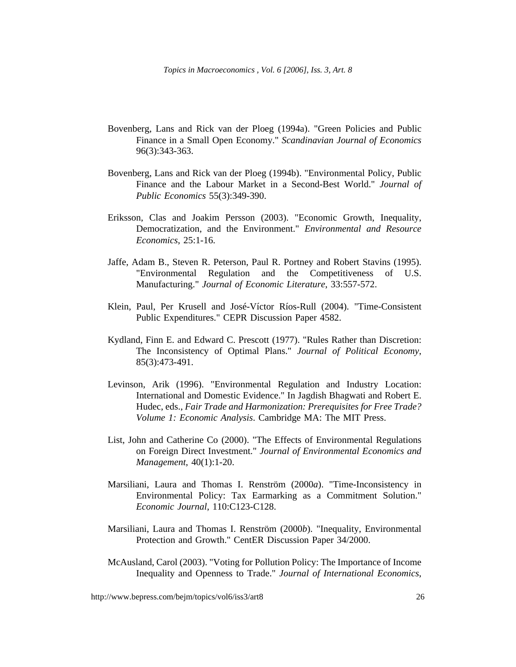- Bovenberg, Lans and Rick van der Ploeg (1994a). "Green Policies and Public Finance in a Small Open Economy." *Scandinavian Journal of Economics* 96(3):343-363.
- Bovenberg, Lans and Rick van der Ploeg (1994b). "Environmental Policy, Public Finance and the Labour Market in a Second-Best World." *Journal of Public Economics* 55(3):349-390.
- Eriksson, Clas and Joakim Persson (2003). "Economic Growth, Inequality, Democratization, and the Environment." *Environmental and Resource Economics*, 25:1-16.
- Jaffe, Adam B., Steven R. Peterson, Paul R. Portney and Robert Stavins (1995). "Environmental Regulation and the Competitiveness of U.S. Manufacturing." *Journal of Economic Literature*, 33:557-572.
- Klein, Paul, Per Krusell and José-Víctor Ríos-Rull (2004). "Time-Consistent Public Expenditures." CEPR Discussion Paper 4582.
- Kydland, Finn E. and Edward C. Prescott (1977). "Rules Rather than Discretion: The Inconsistency of Optimal Plans." *Journal of Political Economy*, 85(3):473-491.
- Levinson, Arik (1996). "Environmental Regulation and Industry Location: International and Domestic Evidence." In Jagdish Bhagwati and Robert E. Hudec, eds., *Fair Trade and Harmonization: Prerequisites for Free Trade? Volume 1: Economic Analysis*. Cambridge MA: The MIT Press.
- List, John and Catherine Co (2000). "The Effects of Environmental Regulations on Foreign Direct Investment." *Journal of Environmental Economics and Management*, 40(1):1-20.
- Marsiliani, Laura and Thomas I. Renström (2000*a*). "Time-Inconsistency in Environmental Policy: Tax Earmarking as a Commitment Solution." *Economic Journal*, 110:C123-C128.
- Marsiliani, Laura and Thomas I. Renström (2000*b*). "Inequality, Environmental Protection and Growth." CentER Discussion Paper 34/2000.
- McAusland, Carol (2003). "Voting for Pollution Policy: The Importance of Income Inequality and Openness to Trade." *Journal of International Economics*,